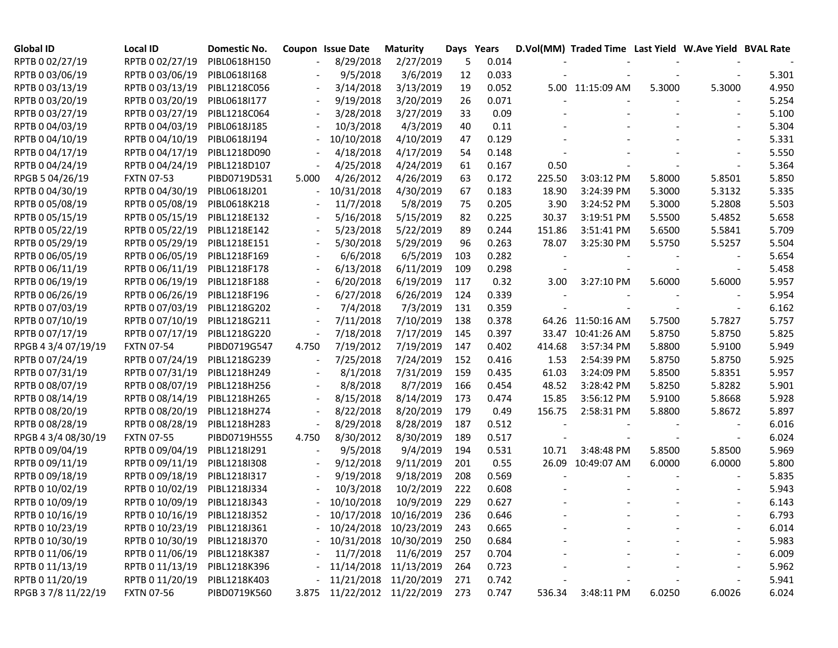| <b>Global ID</b>    | <b>Local ID</b>   | Domestic No. |       | <b>Coupon Issue Date</b> | <b>Maturity</b>       | Days Years |       |        | D.Vol(MM) Traded Time Last Yield W.Ave Yield BVAL Rate |        |        |       |
|---------------------|-------------------|--------------|-------|--------------------------|-----------------------|------------|-------|--------|--------------------------------------------------------|--------|--------|-------|
| RPTB 0 02/27/19     | RPTB 0 02/27/19   | PIBL0618H150 |       | 8/29/2018                | 2/27/2019             | 5          | 0.014 |        |                                                        |        |        |       |
| RPTB 0 03/06/19     | RPTB 0 03/06/19   | PIBL0618I168 |       | 9/5/2018                 | 3/6/2019              | 12         | 0.033 |        |                                                        |        |        | 5.301 |
| RPTB 0 03/13/19     | RPTB 0 03/13/19   | PIBL1218C056 |       | 3/14/2018                | 3/13/2019             | 19         | 0.052 |        | 5.00 11:15:09 AM                                       | 5.3000 | 5.3000 | 4.950 |
| RPTB 0 03/20/19     | RPTB 0 03/20/19   | PIBL0618I177 |       | 9/19/2018                | 3/20/2019             | 26         | 0.071 |        |                                                        |        |        | 5.254 |
| RPTB 0 03/27/19     | RPTB 0 03/27/19   | PIBL1218C064 |       | 3/28/2018                | 3/27/2019             | 33         | 0.09  |        |                                                        |        |        | 5.100 |
| RPTB 0 04/03/19     | RPTB 0 04/03/19   | PIBL0618J185 |       | 10/3/2018                | 4/3/2019              | 40         | 0.11  |        |                                                        |        |        | 5.304 |
| RPTB 0 04/10/19     | RPTB 0 04/10/19   | PIBL0618J194 |       | 10/10/2018               | 4/10/2019             | 47         | 0.129 |        |                                                        |        |        | 5.331 |
| RPTB 0 04/17/19     | RPTB 0 04/17/19   | PIBL1218D090 |       | 4/18/2018                | 4/17/2019             | 54         | 0.148 |        |                                                        |        |        | 5.550 |
| RPTB 0 04/24/19     | RPTB 0 04/24/19   | PIBL1218D107 |       | 4/25/2018                | 4/24/2019             | 61         | 0.167 | 0.50   |                                                        |        |        | 5.364 |
| RPGB 5 04/26/19     | <b>FXTN 07-53</b> | PIBD0719D531 | 5.000 | 4/26/2012                | 4/26/2019             | 63         | 0.172 | 225.50 | 3:03:12 PM                                             | 5.8000 | 5.8501 | 5.850 |
| RPTB 0 04/30/19     | RPTB 0 04/30/19   | PIBL0618J201 |       | 10/31/2018               | 4/30/2019             | 67         | 0.183 | 18.90  | 3:24:39 PM                                             | 5.3000 | 5.3132 | 5.335 |
| RPTB 0 05/08/19     | RPTB 0 05/08/19   | PIBL0618K218 |       | 11/7/2018                | 5/8/2019              | 75         | 0.205 | 3.90   | 3:24:52 PM                                             | 5.3000 | 5.2808 | 5.503 |
| RPTB 0 05/15/19     | RPTB 0 05/15/19   | PIBL1218E132 |       | 5/16/2018                | 5/15/2019             | 82         | 0.225 | 30.37  | 3:19:51 PM                                             | 5.5500 | 5.4852 | 5.658 |
| RPTB 0 05/22/19     | RPTB 0 05/22/19   | PIBL1218E142 |       | 5/23/2018                | 5/22/2019             | 89         | 0.244 | 151.86 | 3:51:41 PM                                             | 5.6500 | 5.5841 | 5.709 |
| RPTB 0 05/29/19     | RPTB 0 05/29/19   | PIBL1218E151 |       | 5/30/2018                | 5/29/2019             | 96         | 0.263 | 78.07  | 3:25:30 PM                                             | 5.5750 | 5.5257 | 5.504 |
| RPTB 0 06/05/19     | RPTB 0 06/05/19   | PIBL1218F169 |       | 6/6/2018                 | 6/5/2019              | 103        | 0.282 |        |                                                        |        |        | 5.654 |
| RPTB 0 06/11/19     | RPTB 0 06/11/19   | PIBL1218F178 |       | 6/13/2018                | 6/11/2019             | 109        | 0.298 |        |                                                        |        |        | 5.458 |
| RPTB 0 06/19/19     | RPTB 0 06/19/19   | PIBL1218F188 |       | 6/20/2018                | 6/19/2019             | 117        | 0.32  | 3.00   | 3:27:10 PM                                             | 5.6000 | 5.6000 | 5.957 |
| RPTB 0 06/26/19     | RPTB 0 06/26/19   | PIBL1218F196 |       | 6/27/2018                | 6/26/2019             | 124        | 0.339 |        |                                                        |        |        | 5.954 |
| RPTB 0 07/03/19     | RPTB 0 07/03/19   | PIBL1218G202 |       | 7/4/2018                 | 7/3/2019              | 131        | 0.359 |        |                                                        |        |        | 6.162 |
| RPTB 0 07/10/19     | RPTB 0 07/10/19   | PIBL1218G211 |       | 7/11/2018                | 7/10/2019             | 138        | 0.378 |        | 64.26 11:50:16 AM                                      | 5.7500 | 5.7827 | 5.757 |
| RPTB 0 07/17/19     | RPTB 0 07/17/19   | PIBL1218G220 |       | 7/18/2018                | 7/17/2019             | 145        | 0.397 |        | 33.47 10:41:26 AM                                      | 5.8750 | 5.8750 | 5.825 |
| RPGB 4 3/4 07/19/19 | <b>FXTN 07-54</b> | PIBD0719G547 | 4.750 | 7/19/2012                | 7/19/2019             | 147        | 0.402 | 414.68 | 3:57:34 PM                                             | 5.8800 | 5.9100 | 5.949 |
| RPTB 0 07/24/19     | RPTB 0 07/24/19   | PIBL1218G239 |       | 7/25/2018                | 7/24/2019             | 152        | 0.416 | 1.53   | 2:54:39 PM                                             | 5.8750 | 5.8750 | 5.925 |
| RPTB 0 07/31/19     | RPTB 0 07/31/19   | PIBL1218H249 |       | 8/1/2018                 | 7/31/2019             | 159        | 0.435 | 61.03  | 3:24:09 PM                                             | 5.8500 | 5.8351 | 5.957 |
| RPTB 0 08/07/19     | RPTB 0 08/07/19   | PIBL1218H256 |       | 8/8/2018                 | 8/7/2019              | 166        | 0.454 | 48.52  | 3:28:42 PM                                             | 5.8250 | 5.8282 | 5.901 |
| RPTB 0 08/14/19     | RPTB 0 08/14/19   | PIBL1218H265 |       | 8/15/2018                | 8/14/2019             | 173        | 0.474 | 15.85  | 3:56:12 PM                                             | 5.9100 | 5.8668 | 5.928 |
| RPTB 0 08/20/19     | RPTB 0 08/20/19   | PIBL1218H274 |       | 8/22/2018                | 8/20/2019             | 179        | 0.49  | 156.75 | 2:58:31 PM                                             | 5.8800 | 5.8672 | 5.897 |
| RPTB 0 08/28/19     | RPTB 0 08/28/19   | PIBL1218H283 |       | 8/29/2018                | 8/28/2019             | 187        | 0.512 |        |                                                        |        |        | 6.016 |
| RPGB 4 3/4 08/30/19 | <b>FXTN 07-55</b> | PIBD0719H555 | 4.750 | 8/30/2012                | 8/30/2019             | 189        | 0.517 |        |                                                        |        |        | 6.024 |
| RPTB 0 09/04/19     | RPTB 0 09/04/19   | PIBL1218I291 |       | 9/5/2018                 | 9/4/2019              | 194        | 0.531 | 10.71  | 3:48:48 PM                                             | 5.8500 | 5.8500 | 5.969 |
| RPTB 0 09/11/19     | RPTB 0 09/11/19   | PIBL12181308 |       | 9/12/2018                | 9/11/2019             | 201        | 0.55  |        | 26.09 10:49:07 AM                                      | 6.0000 | 6.0000 | 5.800 |
| RPTB 0 09/18/19     | RPTB 0 09/18/19   | PIBL1218I317 |       | 9/19/2018                | 9/18/2019             | 208        | 0.569 |        |                                                        |        |        | 5.835 |
| RPTB 0 10/02/19     | RPTB 0 10/02/19   | PIBL1218J334 |       | 10/3/2018                | 10/2/2019             | 222        | 0.608 |        |                                                        |        |        | 5.943 |
| RPTB 0 10/09/19     | RPTB 0 10/09/19   | PIBL1218J343 |       | 10/10/2018               | 10/9/2019             | 229        | 0.627 |        |                                                        |        |        | 6.143 |
| RPTB 0 10/16/19     | RPTB 0 10/16/19   | PIBL1218J352 |       |                          | 10/17/2018 10/16/2019 | 236        | 0.646 |        |                                                        |        |        | 6.793 |
| RPTB 0 10/23/19     | RPTB 0 10/23/19   | PIBL1218J361 |       |                          | 10/24/2018 10/23/2019 | 243        | 0.665 |        |                                                        |        |        | 6.014 |
| RPTB 0 10/30/19     | RPTB 0 10/30/19   | PIBL1218J370 |       |                          | 10/31/2018 10/30/2019 | 250        | 0.684 |        |                                                        |        |        | 5.983 |
| RPTB 0 11/06/19     | RPTB 0 11/06/19   | PIBL1218K387 |       | 11/7/2018                | 11/6/2019             | 257        | 0.704 |        |                                                        |        |        | 6.009 |
| RPTB 0 11/13/19     | RPTB 0 11/13/19   | PIBL1218K396 |       |                          | 11/14/2018 11/13/2019 | 264        | 0.723 |        |                                                        |        |        | 5.962 |
| RPTB 0 11/20/19     | RPTB 0 11/20/19   | PIBL1218K403 |       |                          | 11/21/2018 11/20/2019 | 271        | 0.742 |        |                                                        |        |        | 5.941 |
| RPGB 37/8 11/22/19  | <b>FXTN 07-56</b> | PIBD0719K560 | 3.875 |                          | 11/22/2012 11/22/2019 | 273        | 0.747 | 536.34 | 3:48:11 PM                                             | 6.0250 | 6.0026 | 6.024 |
|                     |                   |              |       |                          |                       |            |       |        |                                                        |        |        |       |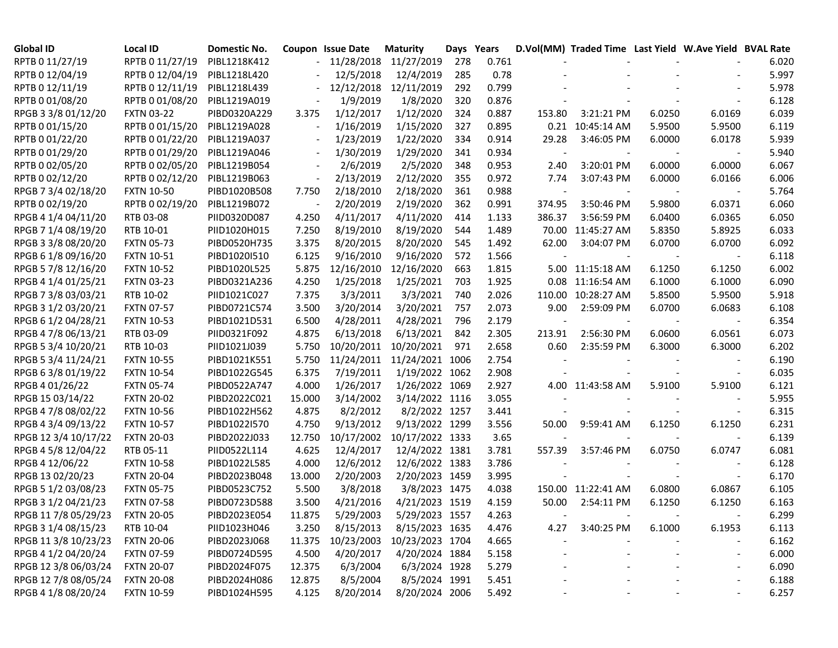| <b>Global ID</b>     | <b>Local ID</b>   | Domestic No. |                          | Coupon Issue Date | <b>Maturity</b>            | Days Years |       |        | D.Vol(MM) Traded Time Last Yield W.Ave Yield BVAL Rate |        |                          |       |
|----------------------|-------------------|--------------|--------------------------|-------------------|----------------------------|------------|-------|--------|--------------------------------------------------------|--------|--------------------------|-------|
| RPTB 0 11/27/19      | RPTB 0 11/27/19   | PIBL1218K412 |                          |                   | 11/28/2018 11/27/2019      | 278        | 0.761 |        |                                                        |        |                          | 6.020 |
| RPTB 0 12/04/19      | RPTB 0 12/04/19   | PIBL1218L420 |                          | 12/5/2018         | 12/4/2019                  | 285        | 0.78  |        |                                                        |        |                          | 5.997 |
| RPTB 0 12/11/19      | RPTB 0 12/11/19   | PIBL1218L439 |                          | 12/12/2018        | 12/11/2019                 | 292        | 0.799 |        |                                                        |        |                          | 5.978 |
| RPTB 0 01/08/20      | RPTB 0 01/08/20   | PIBL1219A019 |                          | 1/9/2019          | 1/8/2020                   | 320        | 0.876 |        |                                                        |        |                          | 6.128 |
| RPGB 3 3/8 01/12/20  | <b>FXTN 03-22</b> | PIBD0320A229 | 3.375                    | 1/12/2017         | 1/12/2020                  | 324        | 0.887 | 153.80 | 3:21:21 PM                                             | 6.0250 | 6.0169                   | 6.039 |
| RPTB 0 01/15/20      | RPTB 0 01/15/20   | PIBL1219A028 | $\overline{\phantom{a}}$ | 1/16/2019         | 1/15/2020                  | 327        | 0.895 |        | 0.21 10:45:14 AM                                       | 5.9500 | 5.9500                   | 6.119 |
| RPTB 0 01/22/20      | RPTB 0 01/22/20   | PIBL1219A037 |                          | 1/23/2019         | 1/22/2020                  | 334        | 0.914 | 29.28  | 3:46:05 PM                                             | 6.0000 | 6.0178                   | 5.939 |
| RPTB 0 01/29/20      | RPTB 0 01/29/20   | PIBL1219A046 | $\overline{\phantom{a}}$ | 1/30/2019         | 1/29/2020                  | 341        | 0.934 |        |                                                        |        |                          | 5.940 |
| RPTB 0 02/05/20      | RPTB 0 02/05/20   | PIBL1219B054 |                          | 2/6/2019          | 2/5/2020                   | 348        | 0.953 | 2.40   | 3:20:01 PM                                             | 6.0000 | 6.0000                   | 6.067 |
| RPTB 0 02/12/20      | RPTB 0 02/12/20   | PIBL1219B063 | $\overline{\phantom{a}}$ | 2/13/2019         | 2/12/2020                  | 355        | 0.972 | 7.74   | 3:07:43 PM                                             | 6.0000 | 6.0166                   | 6.006 |
| RPGB 7 3/4 02/18/20  | <b>FXTN 10-50</b> | PIBD1020B508 | 7.750                    | 2/18/2010         | 2/18/2020                  | 361        | 0.988 |        |                                                        |        |                          | 5.764 |
| RPTB 0 02/19/20      | RPTB 0 02/19/20   | PIBL1219B072 |                          | 2/20/2019         | 2/19/2020                  | 362        | 0.991 | 374.95 | 3:50:46 PM                                             | 5.9800 | 6.0371                   | 6.060 |
| RPGB 4 1/4 04/11/20  | RTB 03-08         | PIID0320D087 | 4.250                    | 4/11/2017         | 4/11/2020                  | 414        | 1.133 | 386.37 | 3:56:59 PM                                             | 6.0400 | 6.0365                   | 6.050 |
| RPGB 7 1/4 08/19/20  | RTB 10-01         | PIID1020H015 | 7.250                    | 8/19/2010         | 8/19/2020                  | 544        | 1.489 |        | 70.00 11:45:27 AM                                      | 5.8350 | 5.8925                   | 6.033 |
| RPGB 3 3/8 08/20/20  | <b>FXTN 05-73</b> | PIBD0520H735 | 3.375                    | 8/20/2015         | 8/20/2020                  | 545        | 1.492 | 62.00  | 3:04:07 PM                                             | 6.0700 | 6.0700                   | 6.092 |
| RPGB 6 1/8 09/16/20  | <b>FXTN 10-51</b> | PIBD1020I510 | 6.125                    | 9/16/2010         | 9/16/2020                  | 572        | 1.566 |        |                                                        |        |                          | 6.118 |
| RPGB 5 7/8 12/16/20  | <b>FXTN 10-52</b> | PIBD1020L525 | 5.875                    | 12/16/2010        | 12/16/2020                 | 663        | 1.815 |        | 5.00 11:15:18 AM                                       | 6.1250 | 6.1250                   | 6.002 |
| RPGB 4 1/4 01/25/21  | <b>FXTN 03-23</b> | PIBD0321A236 | 4.250                    | 1/25/2018         | 1/25/2021                  | 703        | 1.925 |        | 0.08 11:16:54 AM                                       | 6.1000 | 6.1000                   | 6.090 |
| RPGB 7 3/8 03/03/21  | RTB 10-02         | PIID1021C027 | 7.375                    | 3/3/2011          | 3/3/2021                   | 740        | 2.026 | 110.00 | 10:28:27 AM                                            | 5.8500 | 5.9500                   | 5.918 |
| RPGB 3 1/2 03/20/21  | <b>FXTN 07-57</b> | PIBD0721C574 | 3.500                    | 3/20/2014         | 3/20/2021                  | 757        | 2.073 | 9.00   | 2:59:09 PM                                             | 6.0700 | 6.0683                   | 6.108 |
| RPGB 6 1/2 04/28/21  | <b>FXTN 10-53</b> | PIBD1021D531 | 6.500                    | 4/28/2011         | 4/28/2021                  | 796        | 2.179 |        |                                                        |        |                          | 6.354 |
| RPGB 4 7/8 06/13/21  | RTB 03-09         | PIID0321F092 | 4.875                    | 6/13/2018         | 6/13/2021                  | 842        | 2.305 | 213.91 | 2:56:30 PM                                             | 6.0600 | 6.0561                   | 6.073 |
| RPGB 5 3/4 10/20/21  | RTB 10-03         | PIID1021J039 | 5.750                    | 10/20/2011        | 10/20/2021                 | 971        | 2.658 | 0.60   | 2:35:59 PM                                             | 6.3000 | 6.3000                   | 6.202 |
| RPGB 5 3/4 11/24/21  | <b>FXTN 10-55</b> | PIBD1021K551 | 5.750                    | 11/24/2011        | 11/24/2021 1006            |            | 2.754 |        |                                                        |        |                          | 6.190 |
| RPGB 63/8 01/19/22   | <b>FXTN 10-54</b> | PIBD1022G545 | 6.375                    | 7/19/2011         | 1/19/2022 1062             |            | 2.908 |        |                                                        |        |                          | 6.035 |
| RPGB 4 01/26/22      | <b>FXTN 05-74</b> | PIBD0522A747 | 4.000                    | 1/26/2017         | 1/26/2022 1069             |            | 2.927 |        | 4.00 11:43:58 AM                                       | 5.9100 | 5.9100                   | 6.121 |
| RPGB 15 03/14/22     | <b>FXTN 20-02</b> | PIBD2022C021 | 15.000                   | 3/14/2002         | 3/14/2022 1116             |            | 3.055 |        |                                                        |        |                          | 5.955 |
| RPGB 4 7/8 08/02/22  | <b>FXTN 10-56</b> | PIBD1022H562 | 4.875                    | 8/2/2012          | 8/2/2022 1257              |            | 3.441 |        |                                                        |        |                          | 6.315 |
| RPGB 4 3/4 09/13/22  | <b>FXTN 10-57</b> | PIBD1022I570 | 4.750                    | 9/13/2012         | 9/13/2022 1299             |            | 3.556 | 50.00  | 9:59:41 AM                                             | 6.1250 | 6.1250                   | 6.231 |
| RPGB 12 3/4 10/17/22 | <b>FXTN 20-03</b> | PIBD2022J033 | 12.750                   | 10/17/2002        | 10/17/2022 1333            |            | 3.65  |        |                                                        |        |                          | 6.139 |
| RPGB 4 5/8 12/04/22  | RTB 05-11         | PIID0522L114 | 4.625                    | 12/4/2017         | 12/4/2022 1381             |            | 3.781 | 557.39 | 3:57:46 PM                                             | 6.0750 | 6.0747                   | 6.081 |
| RPGB 4 12/06/22      | <b>FXTN 10-58</b> | PIBD1022L585 | 4.000                    | 12/6/2012         | 12/6/2022 1383             |            | 3.786 |        |                                                        |        |                          | 6.128 |
| RPGB 13 02/20/23     | <b>FXTN 20-04</b> | PIBD2023B048 | 13.000                   | 2/20/2003         | 2/20/2023 1459             |            | 3.995 |        |                                                        |        |                          | 6.170 |
| RPGB 5 1/2 03/08/23  | <b>FXTN 05-75</b> | PIBD0523C752 | 5.500                    | 3/8/2018          | 3/8/2023 1475              |            | 4.038 |        | 150.00 11:22:41 AM                                     | 6.0800 | 6.0867                   | 6.105 |
| RPGB 3 1/2 04/21/23  | <b>FXTN 07-58</b> | PIBD0723D588 | 3.500                    | 4/21/2016         | 4/21/2023 1519             |            | 4.159 | 50.00  | 2:54:11 PM                                             | 6.1250 | 6.1250                   | 6.163 |
| RPGB 11 7/8 05/29/23 | <b>FXTN 20-05</b> | PIBD2023E054 | 11.875                   | 5/29/2003         | 5/29/2023 1557             |            | 4.263 |        |                                                        |        |                          | 6.299 |
| RPGB 3 1/4 08/15/23  | RTB 10-04         | PIID1023H046 | 3.250                    | 8/15/2013         | 8/15/2023 1635             |            | 4.476 | 4.27   | 3:40:25 PM                                             | 6.1000 | 6.1953                   | 6.113 |
| RPGB 11 3/8 10/23/23 | <b>FXTN 20-06</b> | PIBD2023J068 | 11.375                   |                   | 10/23/2003 10/23/2023 1704 |            | 4.665 |        |                                                        |        |                          | 6.162 |
| RPGB 4 1/2 04/20/24  | <b>FXTN 07-59</b> | PIBD0724D595 | 4.500                    | 4/20/2017         | 4/20/2024 1884             |            | 5.158 |        |                                                        |        |                          | 6.000 |
| RPGB 12 3/8 06/03/24 | <b>FXTN 20-07</b> | PIBD2024F075 | 12.375                   | 6/3/2004          | 6/3/2024 1928              |            | 5.279 |        |                                                        |        |                          | 6.090 |
| RPGB 12 7/8 08/05/24 | <b>FXTN 20-08</b> | PIBD2024H086 | 12.875                   | 8/5/2004          | 8/5/2024 1991              |            | 5.451 |        |                                                        |        | $\overline{\phantom{a}}$ | 6.188 |
| RPGB 4 1/8 08/20/24  | <b>FXTN 10-59</b> | PIBD1024H595 | 4.125                    | 8/20/2014         | 8/20/2024 2006             |            | 5.492 |        |                                                        |        |                          | 6.257 |